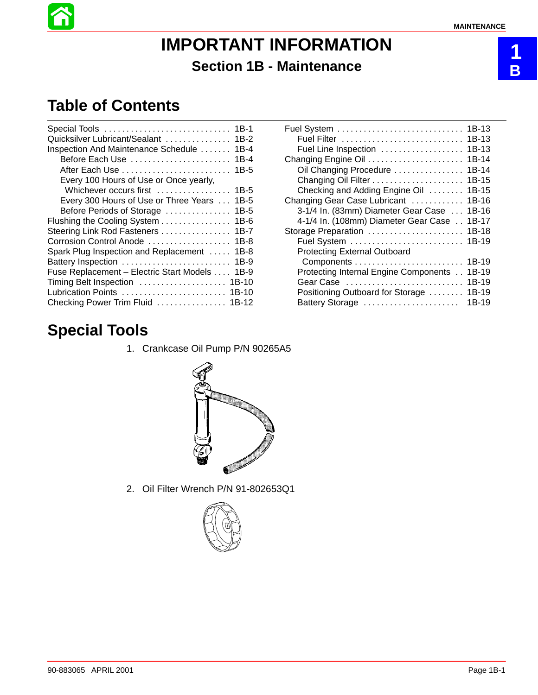**1 B**

# **IMPORTANT INFORMATION Section 1B - Maintenance**

# **Table of Contents**

| $1B-1$                           |
|----------------------------------|
| 1B-2                             |
| $1B-4$                           |
| $1B-4$                           |
| $1B-5$                           |
|                                  |
| $1B-5$                           |
| $1B-5$                           |
| $1B-5$                           |
| 1B-6                             |
| $1B-7$                           |
| $1B-8$                           |
| $1B-8$                           |
| $1B-9$                           |
| $1B-9$                           |
| $1B-10$                          |
| Lubrication Points  1B-10        |
| Checking Power Trim Fluid  1B-12 |
|                                  |

| 1B-13                                          |
|------------------------------------------------|
| $1B-13$                                        |
| $1B-13$<br>Fuel Line Inspection                |
| 1B-14                                          |
| Oil Changing Procedure<br>1B-14                |
| 1B-15                                          |
| $1B-15$<br>Checking and Adding Engine Oil      |
| Changing Gear Case Lubricant<br>1B-16          |
| 3-1/4 In. (83mm) Diameter Gear Case<br>1B-16   |
| 4-1/4 In. (108mm) Diameter Gear Case<br>1B-17  |
| 1B-18<br>Storage Preparation                   |
| 1B-19<br>Fuel System                           |
| <b>Protecting External Outboard</b>            |
| 1B-19                                          |
| Protecting Internal Engine Components<br>1B-19 |
| 1B-19<br>Gear Case                             |
| Positioning Outboard for Storage<br>1B-19      |
| 1B-19<br>Battery Storage                       |

# **Special Tools**

1. Crankcase Oil Pump P/N 90265A5



2. Oil Filter Wrench P/N 91-802653Q1

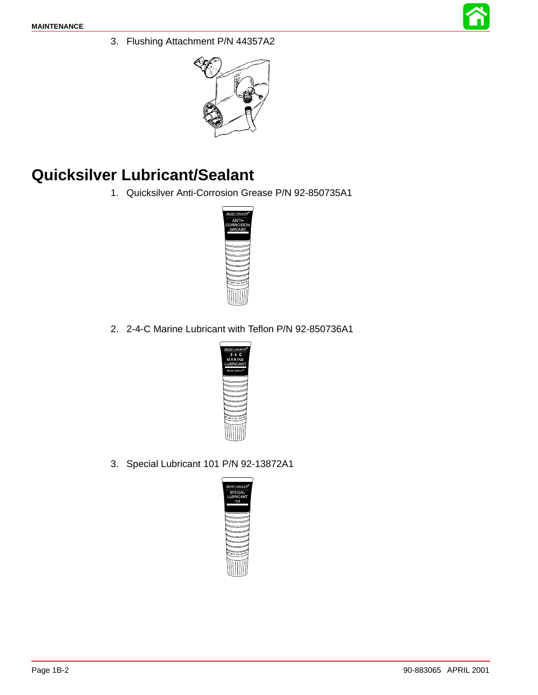

3. Flushing Attachment P/N 44357A2



# **Quicksilver Lubricant/Sealant**

1. Quicksilver Anti-Corrosion Grease P/N 92-850735A1



2. 2-4-C Marine Lubricant with Teflon P/N 92-850736A1



3. Special Lubricant 101 P/N 92-13872A1

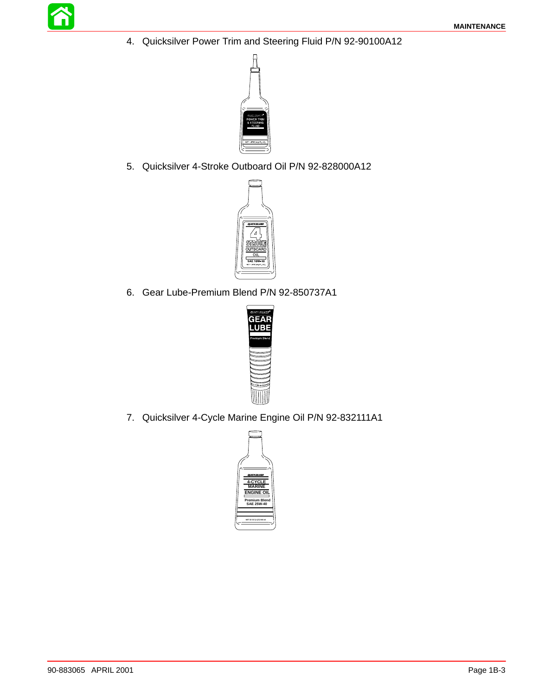4. Quicksilver Power Trim and Steering Fluid P/N 92-90100A12



5. Quicksilver 4-Stroke Outboard Oil P/N 92-828000A12



6. Gear Lube-Premium Blend P/N 92-850737A1



7. Quicksilver 4-Cycle Marine Engine Oil P/N 92-832111A1

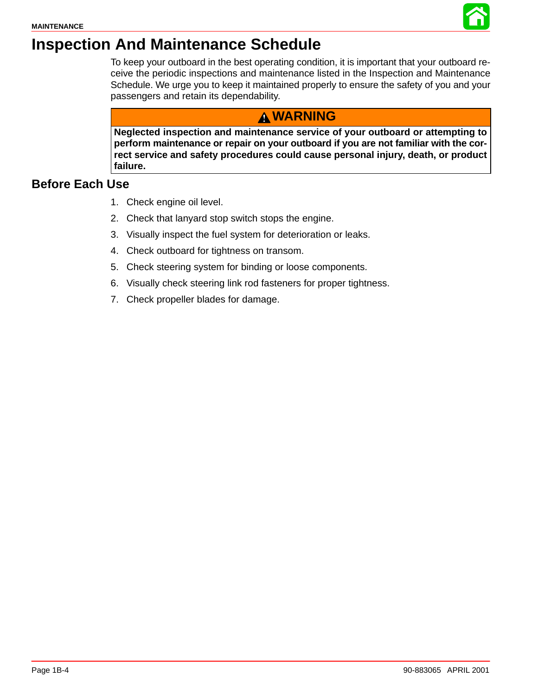

# <span id="page-3-0"></span>**Inspection And Maintenance Schedule**

To keep your outboard in the best operating condition, it is important that your outboard receive the periodic inspections and maintenance listed in the Inspection and Maintenance Schedule. We urge you to keep it maintained properly to ensure the safety of you and your passengers and retain its dependability.

## **WARNING**

**Neglected inspection and maintenance service of your outboard or attempting to perform maintenance or repair on your outboard if you are not familiar with the correct service and safety procedures could cause personal injury, death, or product failure.**

### **Before Each Use**

- 1. Check engine oil level.
- 2. Check that lanyard stop switch stops the engine.
- 3. Visually inspect the fuel system for deterioration or leaks.
- 4. Check outboard for tightness on transom.
- 5. Check steering system for binding or loose components.
- 6. Visually check steering link rod fasteners for proper tightness.
- 7. Check propeller blades for damage.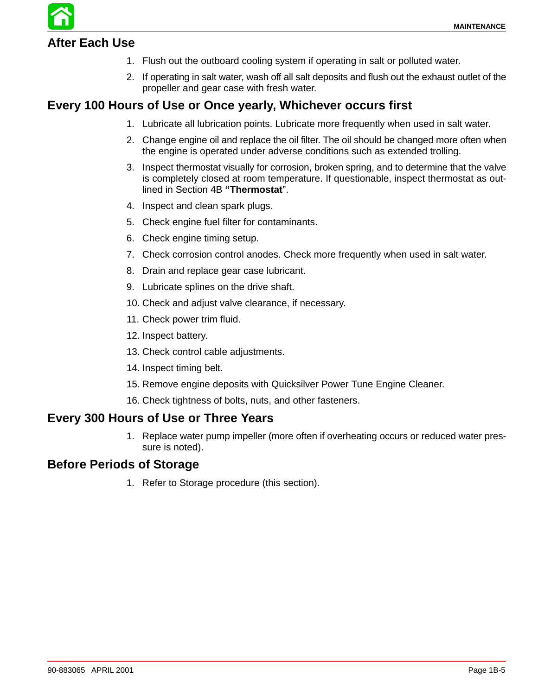## **After Each Use**

- 1. Flush out the outboard cooling system if operating in salt or polluted water.
- 2. If operating in salt water, wash off all salt deposits and flush out the exhaust outlet of the propeller and gear case with fresh water.

### **Every 100 Hours of Use or Once yearly, Whichever occurs first**

- 1. Lubricate all lubrication points. Lubricate more frequently when used in salt water.
- 2. Change engine oil and replace the oil filter. The oil should be changed more often when the engine is operated under adverse conditions such as extended trolling.
- 3. Inspect thermostat visually for corrosion, broken spring, and to determine that the valve is completely closed at room temperature. If questionable, inspect thermostat as outlined in Section 4B **"Thermostat**".
- 4. Inspect and clean spark plugs.
- 5. Check engine fuel filter for contaminants.
- 6. Check engine timing setup.
- 7. Check corrosion control anodes. Check more frequently when used in salt water.
- 8. Drain and replace gear case lubricant.
- 9. Lubricate splines on the drive shaft.
- 10. Check and adjust valve clearance, if necessary.
- 11. Check power trim fluid.
- 12. Inspect battery.
- 13. Check control cable adjustments.
- 14. Inspect timing belt.
- 15. Remove engine deposits with Quicksilver Power Tune Engine Cleaner.
- 16. Check tightness of bolts, nuts, and other fasteners.

#### **Every 300 Hours of Use or Three Years**

1. Replace water pump impeller (more often if overheating occurs or reduced water pressure is noted).

#### **Before Periods of Storage**

1. Refer to Storage procedure (this section).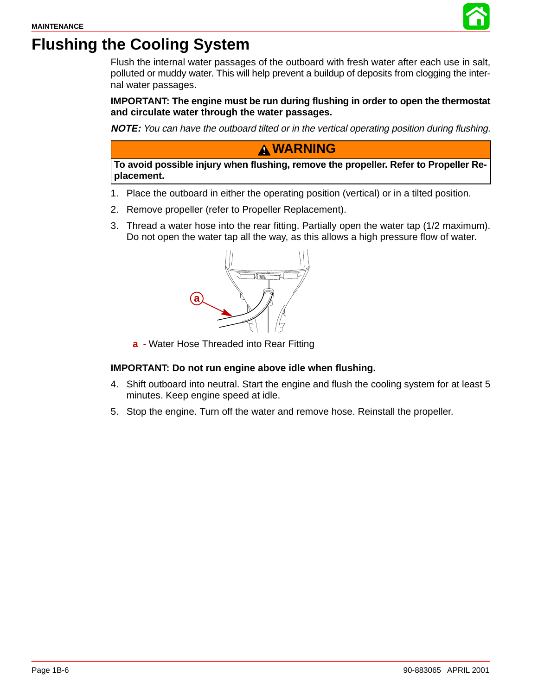

# **Flushing the Cooling System**

Flush the internal water passages of the outboard with fresh water after each use in salt, polluted or muddy water. This will help prevent a buildup of deposits from clogging the internal water passages.

**IMPORTANT: The engine must be run during flushing in order to open the thermostat and circulate water through the water passages.**

**NOTE:** You can have the outboard tilted or in the vertical operating position during flushing.

### **WARNING**

**To avoid possible injury when flushing, remove the propeller. Refer to Propeller Replacement.**

- 1. Place the outboard in either the operating position (vertical) or in a tilted position.
- 2. Remove propeller (refer to Propeller Replacement).
- 3. Thread a water hose into the rear fitting. Partially open the water tap (1/2 maximum). Do not open the water tap all the way, as this allows a high pressure flow of water.



**a -** Water Hose Threaded into Rear Fitting

#### **IMPORTANT: Do not run engine above idle when flushing.**

- 4. Shift outboard into neutral. Start the engine and flush the cooling system for at least 5 minutes. Keep engine speed at idle.
- 5. Stop the engine. Turn off the water and remove hose. Reinstall the propeller.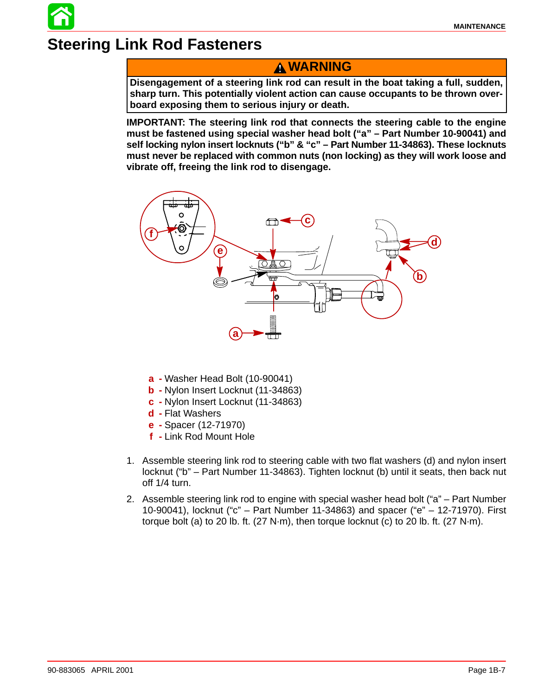# **Steering Link Rod Fasteners**

### **WARNING**

**Disengagement of a steering link rod can result in the boat taking a full, sudden, sharp turn. This potentially violent action can cause occupants to be thrown overboard exposing them to serious injury or death.**

**IMPORTANT: The steering link rod that connects the steering cable to the engine must be fastened using special washer head bolt ("a" – Part Number 10-90041) and self locking nylon insert locknuts ("b" & "c" – Part Number 11-34863). These locknuts must never be replaced with common nuts (non locking) as they will work loose and vibrate off, freeing the link rod to disengage.**



- **a -** Washer Head Bolt (10-90041)
- **b -** Nylon Insert Locknut (11-34863)
- **c -** Nylon Insert Locknut (11-34863)
- **d -** Flat Washers
- **e -** Spacer (12-71970)
- **f -** Link Rod Mount Hole
- 1. Assemble steering link rod to steering cable with two flat washers (d) and nylon insert locknut ("b" – Part Number 11-34863). Tighten locknut (b) until it seats, then back nut off 1/4 turn.
- 2. Assemble steering link rod to engine with special washer head bolt ("a" Part Number 10-90041), locknut ("c" – Part Number 11-34863) and spacer ("e" – 12-71970). First torque bolt (a) to 20 lb. ft.  $(27 \text{ N} \cdot \text{m})$ , then torque locknut (c) to 20 lb. ft.  $(27 \text{ N} \cdot \text{m})$ .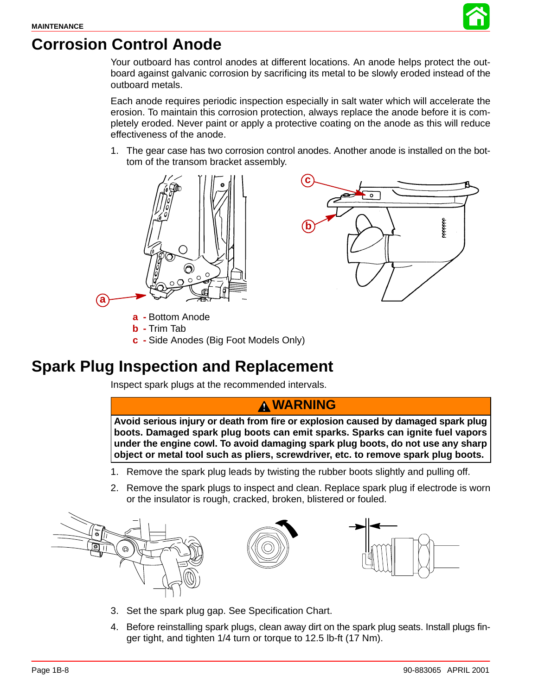

# **Corrosion Control Anode**

Your outboard has control anodes at different locations. An anode helps protect the outboard against galvanic corrosion by sacrificing its metal to be slowly eroded instead of the outboard metals.

Each anode requires periodic inspection especially in salt water which will accelerate the erosion. To maintain this corrosion protection, always replace the anode before it is completely eroded. Never paint or apply a protective coating on the anode as this will reduce effectiveness of the anode.

1. The gear case has two corrosion control anodes. Another anode is installed on the bottom of the transom bracket assembly.





- **a -** Bottom Anode
- **b -** Trim Tab
- **c -** Side Anodes (Big Foot Models Only)

# **Spark Plug Inspection and Replacement**

Inspect spark plugs at the recommended intervals.

## **WARNING**

**Avoid serious injury or death from fire or explosion caused by damaged spark plug boots. Damaged spark plug boots can emit sparks. Sparks can ignite fuel vapors under the engine cowl. To avoid damaging spark plug boots, do not use any sharp object or metal tool such as pliers, screwdriver, etc. to remove spark plug boots.**

- 1. Remove the spark plug leads by twisting the rubber boots slightly and pulling off.
- 2. Remove the spark plugs to inspect and clean. Replace spark plug if electrode is worn or the insulator is rough, cracked, broken, blistered or fouled.



- 3. Set the spark plug gap. See Specification Chart.
- 4. Before reinstalling spark plugs, clean away dirt on the spark plug seats. Install plugs finger tight, and tighten 1/4 turn or torque to 12.5 lb-ft (17 Nm).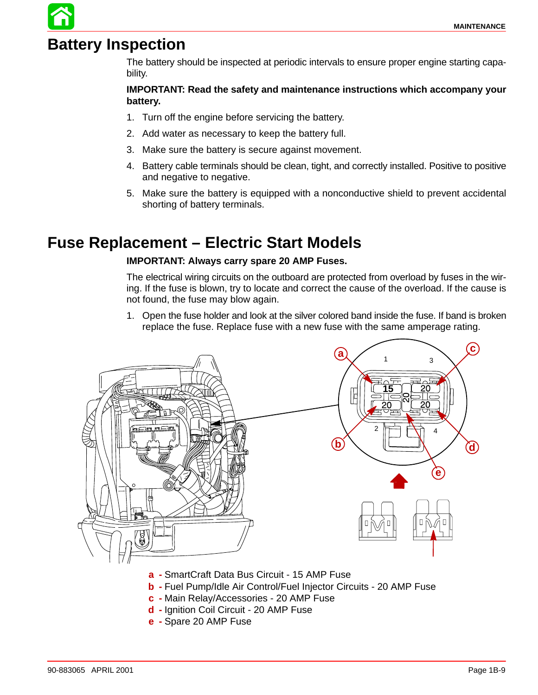# **Battery Inspection**

The battery should be inspected at periodic intervals to ensure proper engine starting capability.

#### **IMPORTANT: Read the safety and maintenance instructions which accompany your battery.**

- 1. Turn off the engine before servicing the battery.
- 2. Add water as necessary to keep the battery full.
- 3. Make sure the battery is secure against movement.
- 4. Battery cable terminals should be clean, tight, and correctly installed. Positive to positive and negative to negative.
- 5. Make sure the battery is equipped with a nonconductive shield to prevent accidental shorting of battery terminals.

# **Fuse Replacement – Electric Start Models**

#### **IMPORTANT: Always carry spare 20 AMP Fuses.**

The electrical wiring circuits on the outboard are protected from overload by fuses in the wiring. If the fuse is blown, try to locate and correct the cause of the overload. If the cause is not found, the fuse may blow again.

1. Open the fuse holder and look at the silver colored band inside the fuse. If band is broken replace the fuse. Replace fuse with a new fuse with the same amperage rating.



- **b -** Fuel Pump/Idle Air Control/Fuel Injector Circuits 20 AMP Fuse
- **c -** Main Relay/Accessories 20 AMP Fuse
- **d -** Ignition Coil Circuit 20 AMP Fuse
- **e -** Spare 20 AMP Fuse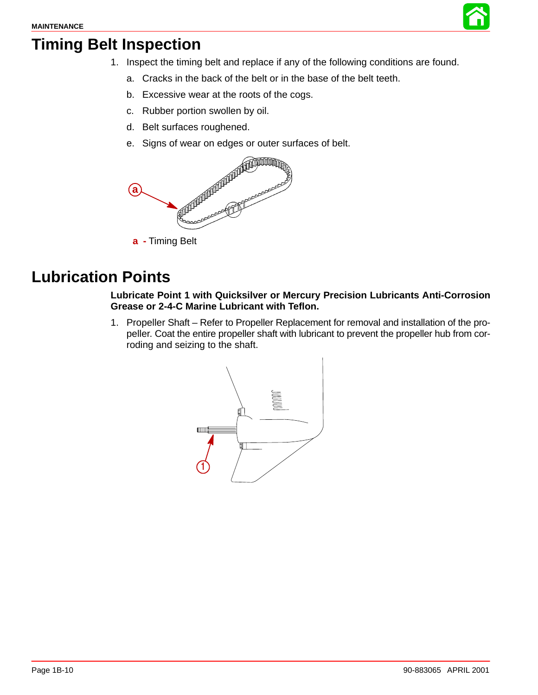

# **Timing Belt Inspection**

- 1. Inspect the timing belt and replace if any of the following conditions are found.
	- a. Cracks in the back of the belt or in the base of the belt teeth.
	- b. Excessive wear at the roots of the cogs.
	- c. Rubber portion swollen by oil.
	- d. Belt surfaces roughened.
	- e. Signs of wear on edges or outer surfaces of belt.



**a -** Timing Belt

# **Lubrication Points**

#### **Lubricate Point 1 with Quicksilver or Mercury Precision Lubricants Anti-Corrosion Grease or 2-4-C Marine Lubricant with Teflon.**

1. Propeller Shaft – Refer to Propeller Replacement for removal and installation of the propeller. Coat the entire propeller shaft with lubricant to prevent the propeller hub from corroding and seizing to the shaft.

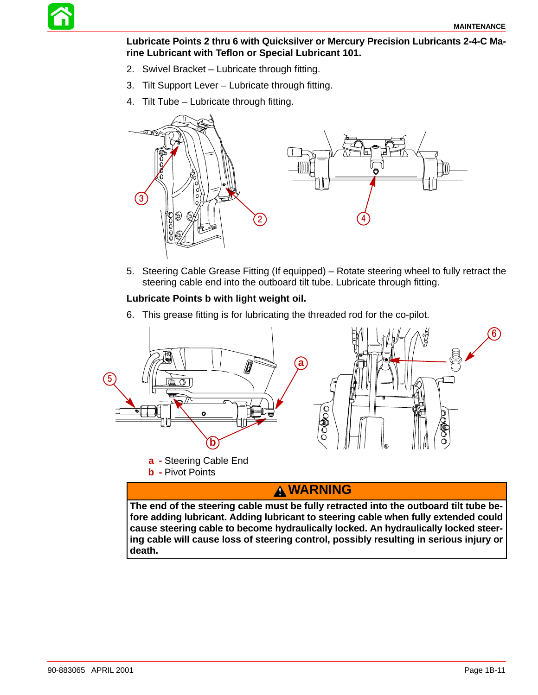

**Lubricate Points 2 thru 6 with Quicksilver or Mercury Precision Lubricants 2-4-C Marine Lubricant with Teflon or Special Lubricant 101.**

- 2. Swivel Bracket Lubricate through fitting.
- 3. Tilt Support Lever Lubricate through fitting.
- 4. Tilt Tube Lubricate through fitting.



5. Steering Cable Grease Fitting (If equipped) – Rotate steering wheel to fully retract the steering cable end into the outboard tilt tube. Lubricate through fitting.

#### **Lubricate Points b with light weight oil.**

6. This grease fitting is for lubricating the threaded rod for the co-pilot.



# **WARNING**

**The end of the steering cable must be fully retracted into the outboard tilt tube before adding lubricant. Adding lubricant to steering cable when fully extended could cause steering cable to become hydraulically locked. An hydraulically locked steering cable will cause loss of steering control, possibly resulting in serious injury or death.**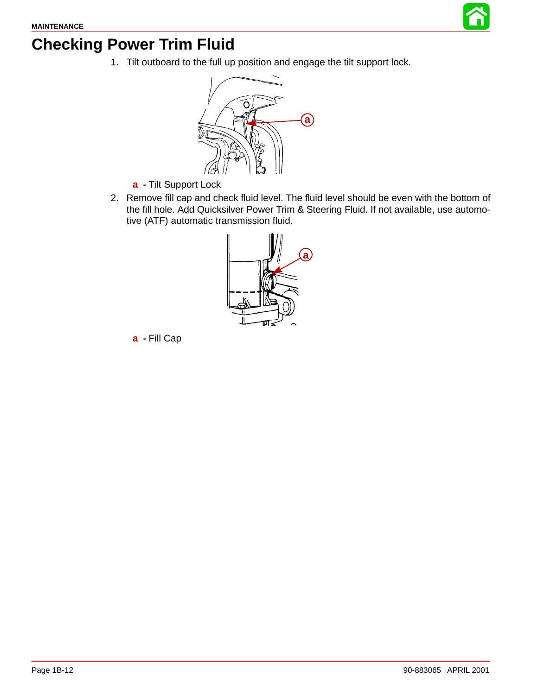

# **Checking Power Trim Fluid**

1. Tilt outboard to the full up position and engage the tilt support lock.



- **a -** Tilt Support Lock
- 2. Remove fill cap and check fluid level. The fluid level should be even with the bottom of the fill hole. Add Quicksilver Power Trim & Steering Fluid. If not available, use automotive (ATF) automatic transmission fluid.



**a -** Fill Cap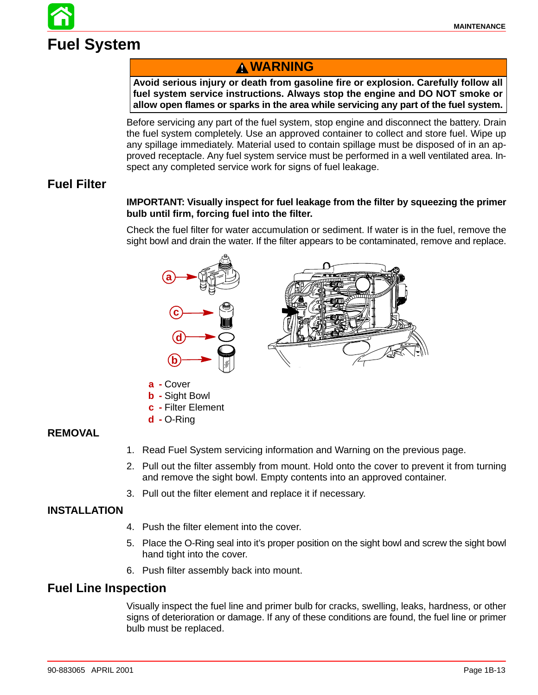

## **WARNING**

**Avoid serious injury or death from gasoline fire or explosion. Carefully follow all fuel system service instructions. Always stop the engine and DO NOT smoke or allow open flames or sparks in the area while servicing any part of the fuel system.**

Before servicing any part of the fuel system, stop engine and disconnect the battery. Drain the fuel system completely. Use an approved container to collect and store fuel. Wipe up any spillage immediately. Material used to contain spillage must be disposed of in an approved receptacle. Any fuel system service must be performed in a well ventilated area. Inspect any completed service work for signs of fuel leakage.

### **Fuel Filter**

#### **IMPORTANT: Visually inspect for fuel leakage from the filter by squeezing the primer bulb until firm, forcing fuel into the filter.**

Check the fuel filter for water accumulation or sediment. If water is in the fuel, remove the sight bowl and drain the water. If the filter appears to be contaminated, remove and replace.



- **a -** Cover
- **b -** Sight Bowl
- **c -** Filter Element
- **d -** O-Ring

#### **REMOVAL**

- 1. Read Fuel System servicing information and Warning on the previous page.
- 2. Pull out the filter assembly from mount. Hold onto the cover to prevent it from turning and remove the sight bowl. Empty contents into an approved container.
- 3. Pull out the filter element and replace it if necessary.

#### **INSTALLATION**

- 4. Push the filter element into the cover.
- 5. Place the O-Ring seal into it's proper position on the sight bowl and screw the sight bowl hand tight into the cover.
- 6. Push filter assembly back into mount.

#### **Fuel Line Inspection**

Visually inspect the fuel line and primer bulb for cracks, swelling, leaks, hardness, or other signs of deterioration or damage. If any of these conditions are found, the fuel line or primer bulb must be replaced.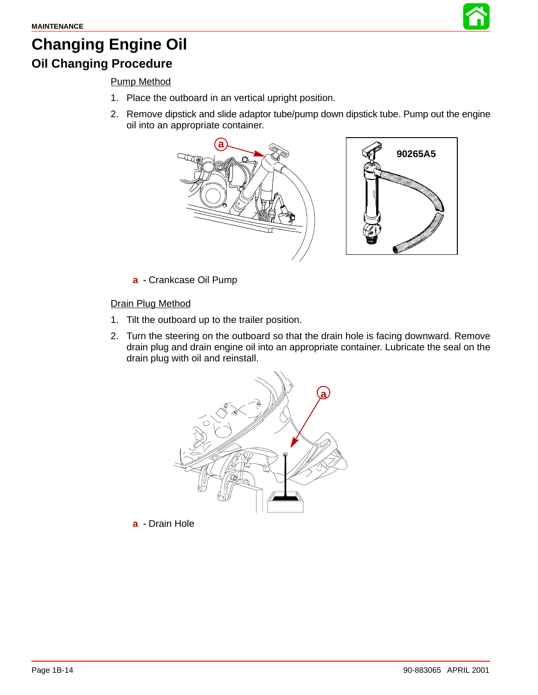

# **Changing Engine Oil**

# **Oil Changing Procedure**

### Pump Method

- 1. Place the outboard in an vertical upright position.
- 2. Remove dipstick and slide adaptor tube/pump down dipstick tube. Pump out the engine oil into an appropriate container.



**a -** Crankcase Oil Pump

#### Drain Plug Method

- 1. Tilt the outboard up to the trailer position.
- 2. Turn the steering on the outboard so that the drain hole is facing downward. Remove drain plug and drain engine oil into an appropriate container. Lubricate the seal on the drain plug with oil and reinstall.



**a -** Drain Hole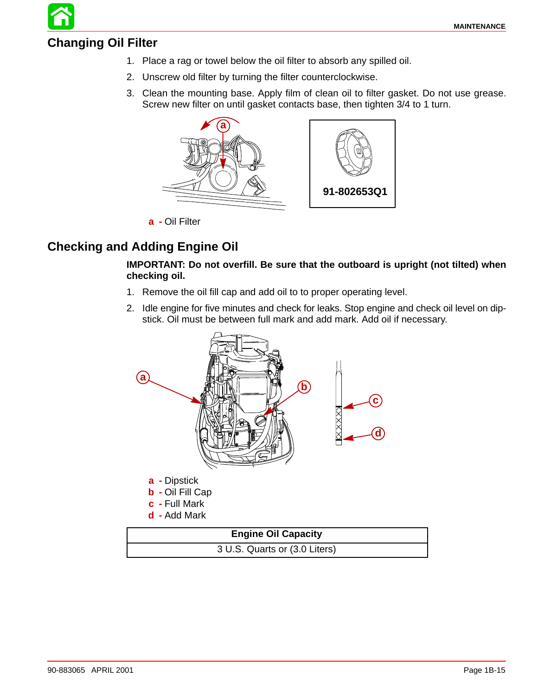## **Changing Oil Filter**

- 1. Place a rag or towel below the oil filter to absorb any spilled oil.
- 2. Unscrew old filter by turning the filter counterclockwise.
- 3. Clean the mounting base. Apply film of clean oil to filter gasket. Do not use grease. Screw new filter on until gasket contacts base, then tighten 3/4 to 1 turn.



**a -** Oil Filter

### **Checking and Adding Engine Oil**

#### **IMPORTANT: Do not overfill. Be sure that the outboard is upright (not tilted) when checking oil.**

- 1. Remove the oil fill cap and add oil to to proper operating level.
- 2. Idle engine for five minutes and check for leaks. Stop engine and check oil level on dipstick. Oil must be between full mark and add mark. Add oil if necessary.

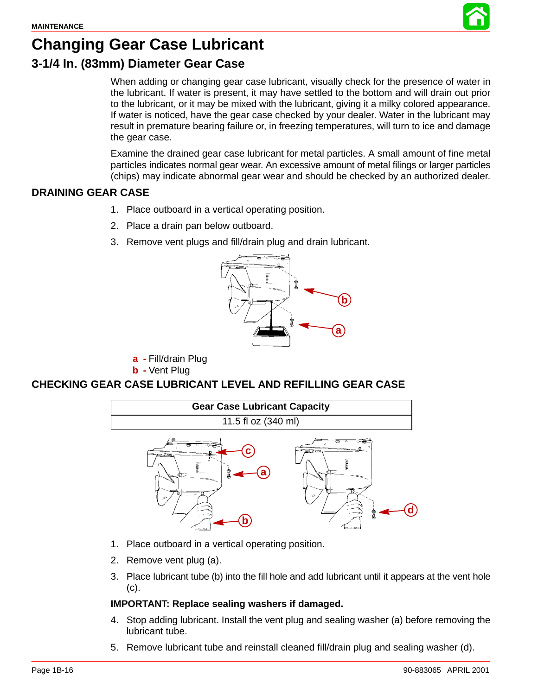

# **Changing Gear Case Lubricant**

## **3-1/4 In. (83mm) Diameter Gear Case**

When adding or changing gear case lubricant, visually check for the presence of water in the lubricant. If water is present, it may have settled to the bottom and will drain out prior to the lubricant, or it may be mixed with the lubricant, giving it a milky colored appearance. If water is noticed, have the gear case checked by your dealer. Water in the lubricant may result in premature bearing failure or, in freezing temperatures, will turn to ice and damage the gear case.

Examine the drained gear case lubricant for metal particles. A small amount of fine metal particles indicates normal gear wear. An excessive amount of metal filings or larger particles (chips) may indicate abnormal gear wear and should be checked by an authorized dealer.

#### **DRAINING GEAR CASE**

- 1. Place outboard in a vertical operating position.
- 2. Place a drain pan below outboard.
- 3. Remove vent plugs and fill/drain plug and drain lubricant.



**a -** Fill/drain Plug

**b -** Vent Plug

#### **CHECKING GEAR CASE LUBRICANT LEVEL AND REFILLING GEAR CASE**



- 1. Place outboard in a vertical operating position.
- 2. Remove vent plug (a).
- 3. Place lubricant tube (b) into the fill hole and add lubricant until it appears at the vent hole (c).

#### **IMPORTANT: Replace sealing washers if damaged.**

- 4. Stop adding lubricant. Install the vent plug and sealing washer (a) before removing the lubricant tube.
- 5. Remove lubricant tube and reinstall cleaned fill/drain plug and sealing washer (d).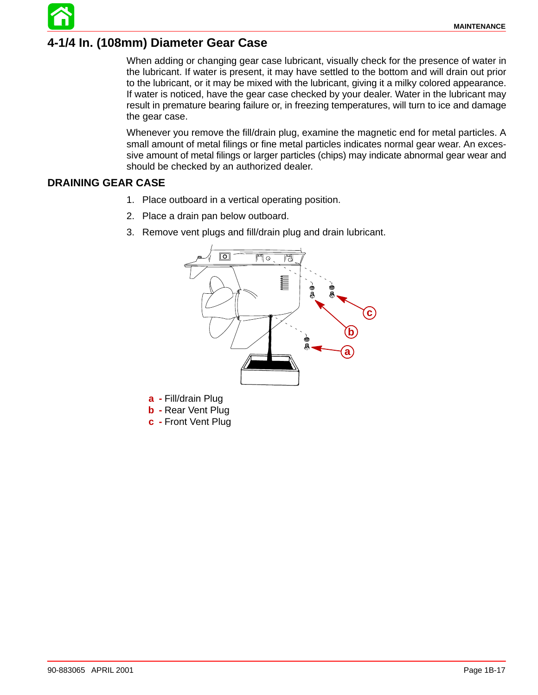## **4-1/4 In. (108mm) Diameter Gear Case**

When adding or changing gear case lubricant, visually check for the presence of water in the lubricant. If water is present, it may have settled to the bottom and will drain out prior to the lubricant, or it may be mixed with the lubricant, giving it a milky colored appearance. If water is noticed, have the gear case checked by your dealer. Water in the lubricant may result in premature bearing failure or, in freezing temperatures, will turn to ice and damage the gear case.

Whenever you remove the fill/drain plug, examine the magnetic end for metal particles. A small amount of metal filings or fine metal particles indicates normal gear wear. An excessive amount of metal filings or larger particles (chips) may indicate abnormal gear wear and should be checked by an authorized dealer.

#### **DRAINING GEAR CASE**

- 1. Place outboard in a vertical operating position.
- 2. Place a drain pan below outboard.
- 3. Remove vent plugs and fill/drain plug and drain lubricant.



**a -** Fill/drain Plug

**b -** Rear Vent Plug

**c -** Front Vent Plug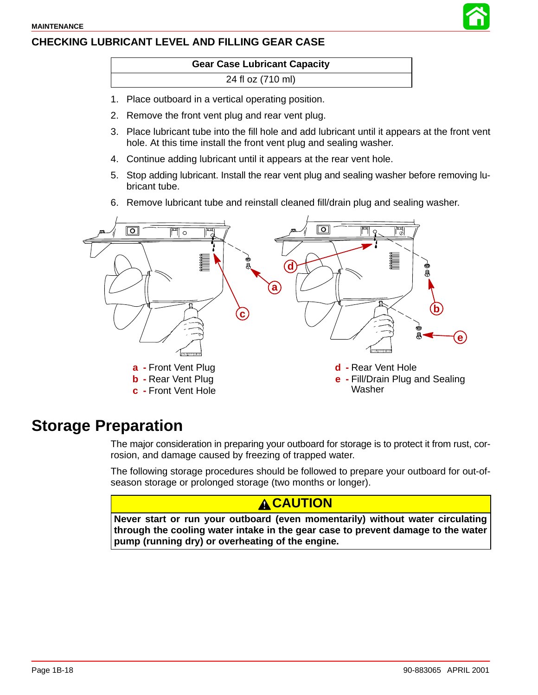### **CHECKING LUBRICANT LEVEL AND FILLING GEAR CASE**

#### **Gear Case Lubricant Capacity**

#### 24 fl oz (710 ml)

- 1. Place outboard in a vertical operating position.
- 2. Remove the front vent plug and rear vent plug.
- 3. Place lubricant tube into the fill hole and add lubricant until it appears at the front vent hole. At this time install the front vent plug and sealing washer.
- 4. Continue adding lubricant until it appears at the rear vent hole.
- 5. Stop adding lubricant. Install the rear vent plug and sealing washer before removing lubricant tube.
- 6. Remove lubricant tube and reinstall cleaned fill/drain plug and sealing washer.



## **Storage Preparation**

The major consideration in preparing your outboard for storage is to protect it from rust, corrosion, and damage caused by freezing of trapped water.

The following storage procedures should be followed to prepare your outboard for out-ofseason storage or prolonged storage (two months or longer).

### **A CAUTION**

**Never start or run your outboard (even momentarily) without water circulating through the cooling water intake in the gear case to prevent damage to the water pump (running dry) or overheating of the engine.**